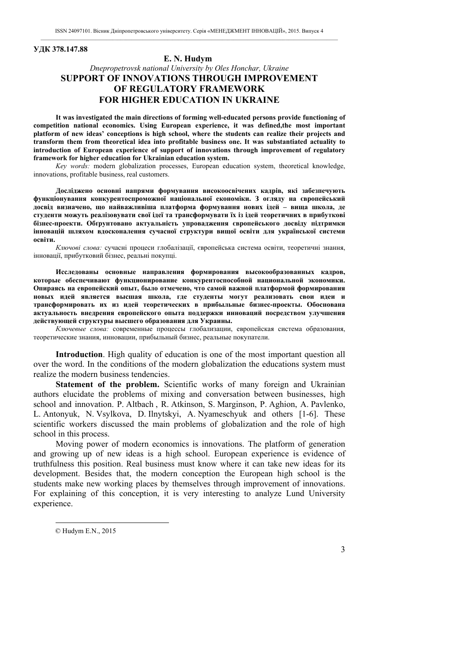### **УДК 378.147.88**

### **E. N. Hudym1**

# *Dnepropetrovsk national University by Oles Honchar, Ukraine*  **SUPPORT OF INNOVATIONS THROUGH IMPROVEMENT OF REGULATORY FRAMEWORK FOR HIGHER EDUCATION IN UKRAINE**

**It was investigated the main directions of forming well-educated persons provide functioning of competition national economics. Using European experience, it was defined,the most important platform of new ideas' conceptions is high school, where the students can realize their projects and transform them from theoretical idea into profitable business one. It was substantiated actuality to introduction of European experience of support of innovations through improvement of regulatory framework for higher education for Ukrainian education system.** 

*Key words:* modern globalization processes, European education system, theoretical knowledge, innovations, profitable business, real customers.

**Досліджено основні напрями формування високоосвічених кадрів, які забезпечують функціонування конкурентоспроможної національної економіки. З огляду на європейський досвід визначено, що найважливіша платформа формування нових ідей – вища школа, де студенти можуть реалізовувати свої ідеї та трансформувати їх із ідей теоретичних в прибуткові бізнес-проекти. Обґрунтовано актуальність упровадження європейського досвіду підтримки інновацій шляхом вдосконалення сучасної структури вищої освіти для української системи освіти.** 

*Ключові слова:* сучасні процеси глобалізації, європейська система освіти, теоретичні знання, інновації, прибутковий бізнес, реальні покупці.

**Исследованы основные направления формирования высокообразованных кадров, которые обеспечивают функционирование конкурентоспособной национальной экономики. Опираясь на европейский опыт, было отмечено, что самой важной платформой формирования новых идей является высшая школа, где студенты могут реализовать свои идеи и трансформировать их из идей теоретических в прибыльные бизнес-проекты. Обоснована актуальность внедрения европейского опыта поддержки инноваций посредством улучшения действующей структуры высшего образования для Украины.** 

*Ключевые слова:* современные процессы глобализации, европейская система образования, теоретические знания, инновации, прибыльный бизнес, реальные покупатели.

**Introduction**. High quality of education is one of the most important question all over the word. In the conditions of the modern globalization the educations system must realize the modern business tendencies.

**Statement of the problem.** Scientific works of many foreign and Ukrainian authors elucidate the problems of mixing and conversation between businesses, high school and innovation. P. Altbach , R. Atkinson, S. Marginson, P. Aghion, А. Pavlenko, L. Antonyuk, N. Vsylkova, D. Ilnytskyi, A. Nyameschyuk and others [1-6]. These scientific workers discussed the main problems of globalization and the role of high school in this process.

Moving power of modern economics is innovations. The platform of generation and growing up of new ideas is a high school. European experience is evidence of truthfulness this position. Real business must know where it can take new ideas for its development. Besides that, the modern conception the European high school is the students make new working places by themselves through improvement of innovations. For explaining of this conception, it is very interesting to analyze Lund University experience.

<sup>©</sup> Hudym E.N., 2015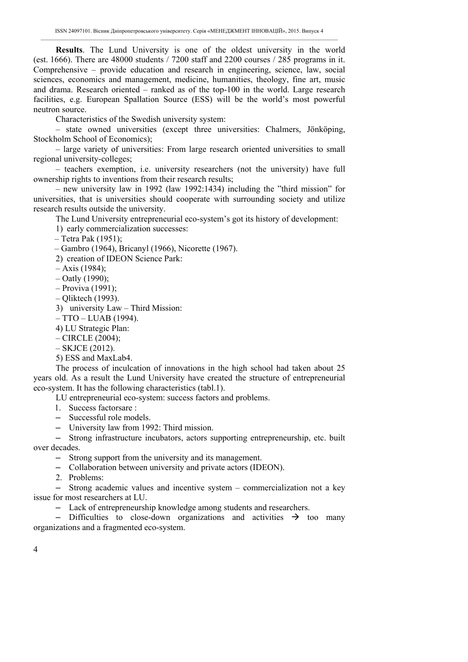**Results**. The Lund University is one of the oldest university in the world (est. 1666). There are 48000 students / 7200 staff and 2200 courses / 285 programs in it. Comprehensive – provide education and research in engineering, science, law, social sciences, economics and management, medicine, humanities, theology, fine art, music and drama. Research oriented – ranked as of the top-100 in the world. Large research facilities, e.g. European Spallation Source (ESS) will be the world's most powerful neutron source.

Characteristics of the Swedish university system:

– state owned universities (except three universities: Chalmers, Jönköping, Stockholm School of Economics);

– large variety of universities: From large research oriented universities to small regional university-colleges;

– teachers exemption, i.e. university researchers (not the university) have full ownership rights to inventions from their research results;

– new university law in 1992 (law 1992:1434) including the "third mission" for universities, that is universities should cooperate with surrounding society and utilize research results outside the university.

The Lund University entrepreneurial eco-system's got its history of development:

1) early commercialization successes:

– Tetra Pak (1951);

– Gambro (1964), Bricanyl (1966), Nicorette (1967).

2) creation of IDEON Science Park:

– Axis (1984);

- Oatly (1990);
- Proviva (1991);
- Qliktech (1993).

3) university Law – Third Mission:

– TTO – LUAB (1994).

4) LU Strategic Plan:

- CIRCLE (2004);
- SKJCE (2012).
- 5) ESS and MaxLab4.

The process of inculcation of innovations in the high school had taken about 25 years old. As a result the Lund University have created the structure of entrepreneurial eco-system. It has the following characteristics (tabl.1).

LU entrepreneurial eco-system: success factors and problems.

1. Success factorsare :

- Successful role models.
- University law from 1992: Third mission.

– Strong infrastructure incubators, actors supporting entrepreneurship, etc. built over decades.

- Strong support from the university and its management.
- Collaboration between university and private actors (IDEON).
- 2. Problems:

– Strong academic values and incentive system – commercialization not a key issue for most researchers at LU.

– Lack of entrepreneurship knowledge among students and researchers.

– Difficulties to close-down organizations and activities  $\rightarrow$  too many organizations and a fragmented eco-system.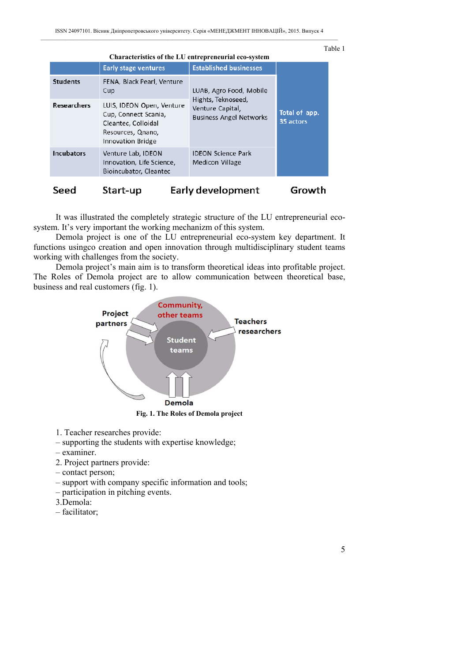| Characteristics of the LU entrepreneurial eco-system |                                                                                                                    |                                                                                                     |                            |
|------------------------------------------------------|--------------------------------------------------------------------------------------------------------------------|-----------------------------------------------------------------------------------------------------|----------------------------|
|                                                      | <b>Early stage ventures</b>                                                                                        | <b>Established businesses</b>                                                                       |                            |
| <b>Students</b>                                      | FENA, Black Pearl, Venture<br>Cup                                                                                  | LUAB, Agro Food, Mobile<br>Hights, Teknoseed,<br>Venture Capital,<br><b>Business Angel Networks</b> | Total of app.<br>35 actors |
| <b>Researchers</b>                                   | LUIS, IDEON Open, Venture<br>Cup, Connect Scania,<br>Cleantec, Colloidal<br>Resources, Qnano,<br>Innovation Bridge |                                                                                                     |                            |
| <b>Incubators</b>                                    | Venture Lab, IDEON<br>Innovation, Life Science,<br>Bioincubator, Cleantec                                          | <b>IDEON Science Park</b><br>Medicon Village                                                        |                            |
| Early development<br>Start-up<br>Seed                |                                                                                                                    | Growth                                                                                              |                            |

It was illustrated the completely strategic structure of the LU entrepreneurial ecosystem. It's very important the working mechanizm of this system.

Demola project is one of the LU entrepreneurial eco-system key department. It functions usingco creation and open innovation through multidisciplinary student teams working with challenges from the society.

Demola project's main aim is to transform theoretical ideas into profitable project. The Roles of Demola project are to allow communication between theoretical base, business and real customers (fig. 1).



1. Teacher researches provide:

- supporting the students with expertise knowledge;
- examiner.
- 2. Project partners provide:
- contact person;
- support with company specific information and tools;
- participation in pitching events.
- 3.Demola:
- facilitator;

Table 1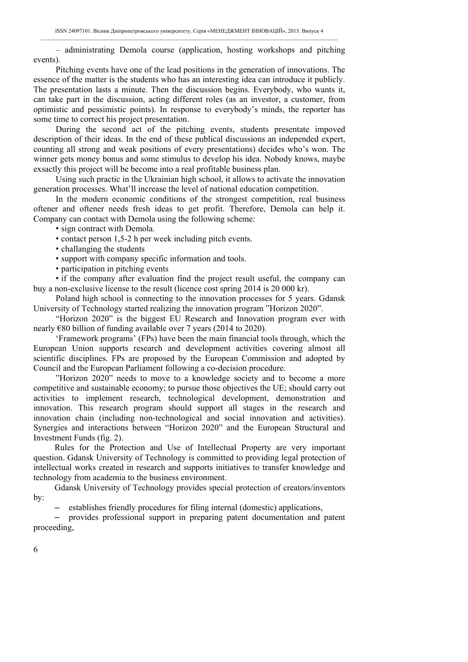– administrating Demola course (application, hosting workshops and pitching events).

Pitching events have one of the lead positions in the generation of innovations. The essence of the matter is the students who has an interesting idea can introduce it publicly. The presentation lasts a minute. Then the discussion begins. Everybody, who wants it, can take part in the discussion, acting different roles (as an investor, a customer, from optimistic and pessimistic points). In response to everybody's minds, the reporter has some time to correct his project presentation.

During the second act of the pitching events, students presentate impoved description of their ideas. In the end of these publical discussions an independed expert, counting all strong and weak positions of every presentations) decides who's won. The winner gets money bonus and some stimulus to develop his idea. Nobody knows, maybe exsactly this project will be become into a real profitable business plan.

Using such practic in the Ukrainian high school, it allows to activate the innovation generation processes. What'll increase the level of national education competition.

In the modern economic conditions of the strongest competition, real business oftener and oftener needs fresh ideas to get profit. Therefore, Demola can help it. Company can contact with Demola using the following scheme:

• sign contract with Demola.

- contact person 1,5-2 h per week including pitch events.
- challanging the students
- support with company specific information and tools.
- participation in pitching events

• if the company after evaluation find the project result useful, the company can buy a non-exclusive license to the result (licence cost spring 2014 is 20 000 kr).

Poland high school is connecting to the innovation processes for 5 years. Gdansk University of Technology started realizing the innovation program "Horizon 2020".

"Horizon 2020" is the biggest EU Research and Innovation program ever with nearly €80 billion of funding available over 7 years (2014 to 2020).

'Framework programs' (FPs) have been the main financial tools through, which the European Union supports research and development activities covering almost all scientific disciplines. FPs are proposed by the European Commission and adopted by Council and the European Parliament following a co-decision procedure.

"Horizon 2020" needs to move to a knowledge society and to become a more competitive and sustainable economy; to pursue those objectives the UE; should carry out activities to implement research, technological development, demonstration and innovation. This research program should support all stages in the research and innovation chain (including non-technological and social innovation and activities). Synergies and interactions between "Horizon 2020" and the European Structural and Investment Funds (fig. 2).

Rules for the Protection and Use of Intellectual Property are very important question. Gdansk University of Technology is committed to providing legal protection of intellectual works created in research and supports initiatives to transfer knowledge and technology from academia to the business environment.

Gdansk University of Technology provides special protection of creators/inventors by:

– establishes friendly procedures for filing internal (domestic) applications,

– provides professional support in preparing patent documentation and patent proceeding,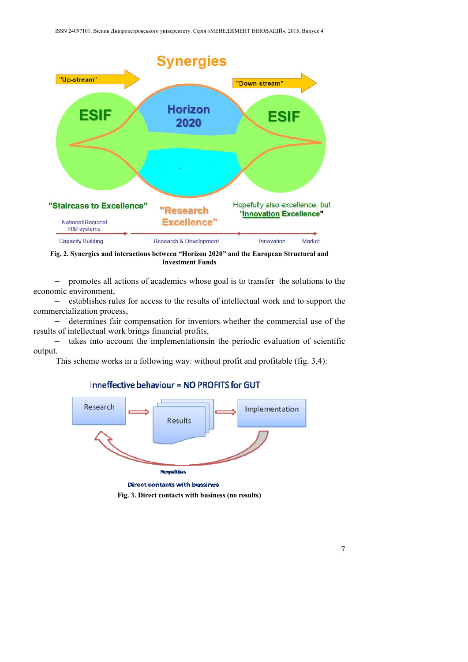

**Fig. 2. Synergies and interactions between "Horizon 2020" and the European Structural and Investment Funds** 

– promotes all actions of academics whose goal is to transfer the solutions to the economic environment,

– establishes rules for access to the results of intellectual work and to support the commercialization process,

– determines fair compensation for inventors whether the commercial use of the results of intellectual work brings financial profits,

takes into account the implementationsin the periodic evaluation of scientific output.

This scheme works in a following way: without profit and profitable (fig. 3,4):



# Inneffective behaviour = NO PROFITS for GUT

Direct contacts with bussines

**Fig. 3. Direct contacts with business (no results)**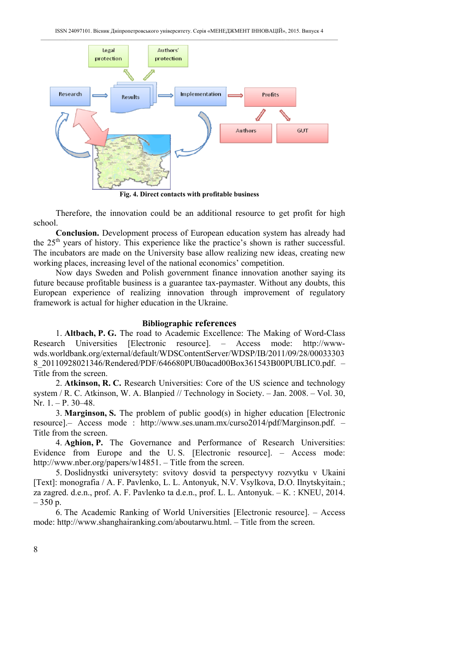

**Fig. 4. Direct contacts with profitable business** 

Therefore, the innovation could be an additional resource to get profit for high school.

**Conclusion.** Development process of European education system has already had the 25<sup>th</sup> years of history. This experience like the practice's shown is rather successful. The incubators are made on the University base allow realizing new ideas, creating new working places, increasing level of the national economics' competition.

Now days Sweden and Polish government finance innovation another saying its future because profitable business is a guarantee tax-paymaster. Without any doubts, this European experience of realizing innovation through improvement of regulatory framework is actual for higher education in the Ukraine.

# **Bibliographic references**

1. **Altbach, P. G.** The road to Academic Excellence: The Making of Word-Class Research Universities [Electronic resource]. – Access mode: http://wwwwds.worldbank.org/external/default/WDSContentServer/WDSP/IB/2011/09/28/00033303 8\_20110928021346/Rendered/PDF/646680PUB0acad00Box361543B00PUBLIC0.pdf. – Title from the screen.

2. **Atkinson, R. C.** Research Universities: Core of the US science and technology system / R. C. Atkinson, W. A. Blanpied // Technology in Society. – Jan. 2008. – Vol. 30, Nr. 1. – P. 30–48.

3. **Marginson, S.** The problem of public good(s) in higher education [Electronic resource].– Access mode : http://www.ses.unam.mx/curso2014/pdf/Marginson.pdf. – Title from the screen.

4. **Aghion, P.** The Governance and Performance of Research Universities: Evidence from Europe and the U. S. [Electronic resource]. – Access mode: http://www.nber.org/papers/w14851. – Title from the screen.

5. Doslidnystki universytety: svitovy dosvid ta perspectyvy rozvytku v Ukaini [Text]: monografia / A. F. Pavlenko, L. L. Antonyuk, N.V. Vsylkova, D.O. Ilnytskyitain.; za zagred. d.е.n., prof. А. F. Pavlenko tа d.е.n., prof. L. L. Antonyuk. – К. : КNEU, 2014. – 350 p.

6. The Academic Ranking of World Universities [Electronic resource]. – Access mode: http://www.shanghairanking.com/aboutarwu.html. – Title from the screen.